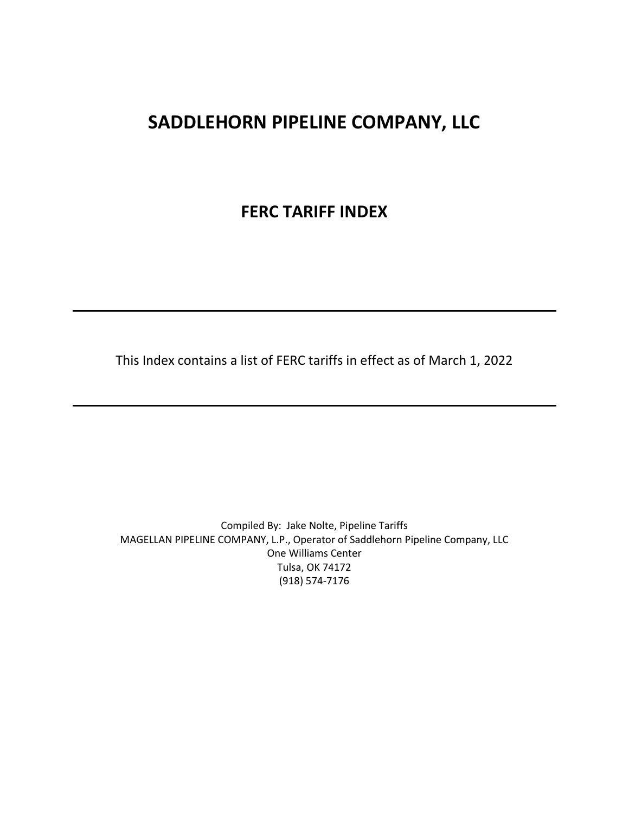## **SADDLEHORN PIPELINE COMPANY, LLC**

## **FERC TARIFF INDEX**

This Index contains a list of FERC tariffs in effect as of March 1, 2022

Compiled By: Jake Nolte, Pipeline Tariffs MAGELLAN PIPELINE COMPANY, L.P., Operator of Saddlehorn Pipeline Company, LLC One Williams Center Tulsa, OK 74172 (918) 574-7176